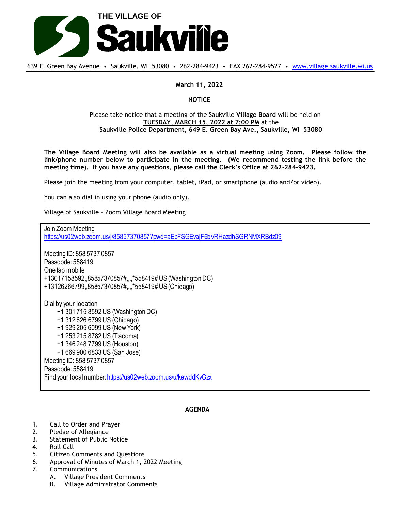

639 E. Green Bay Avenue • Saukville, WI 53080 • 262-284-9423 • FAX 262-284-9527 • [www.village.saukville.wi.us](http://www.village.saukville.wi.us/)

## **March 11, 2022**

## **NOTICE**

## Please take notice that a meeting of the Saukville **Village Board** will be held on **TUESDAY, MARCH 15, 2022 at 7:00 PM** at the **Saukville Police Department, 649 E. Green Bay Ave., Saukville, WI 53080**

**The Village Board Meeting will also be available as a virtual meeting using Zoom. Please follow the link/phone number below to participate in the meeting. (We recommend testing the link before the meeting time). If you have any questions, please call the Clerk's Office at 262-284-9423.**

Please join the meeting from your computer, tablet, iPad, or smartphone (audio and/or video).

You can also dial in using your phone (audio only).

Village of Saukville – Zoom Village Board Meeting

Join Zoom Meeting https://us02web.zoom.us/j/85857370857?pwd=aEpFSGEvajF6bVRHazdhSGRNMXRBdz09 Meeting ID: 858 5737 0857 Passcode: 558419 One tap mobile +13017158592,,85857370857#,,,,\*558419# US (Washington DC) +13126266799,,85857370857#,,,,\*558419# US (Chicago) Dial by your location +1 301 715 8592 US (Washington DC) +1 312 626 6799 US (Chicago) +1 929 205 6099 US (New York) +1 253 215 8782 US (Tacoma) +1 346 248 7799 US (Houston) +1 669 900 6833 US (San Jose) Meeting ID: 858 5737 0857 Passcode: 558419 Find your local number: https://us02web.zoom.us/u/kewddKvGzx

## **AGENDA**

- 1. Call to Order and Prayer
- 2. Pledge of Allegiance
- 3. Statement of Public Notice
- 4. Roll Call
- 5. Citizen Comments and Questions
- 6. Approval of Minutes of March 1, 2022 Meeting
- 7. Communications
	- A. Village President Comments
		- B. Village Administrator Comments